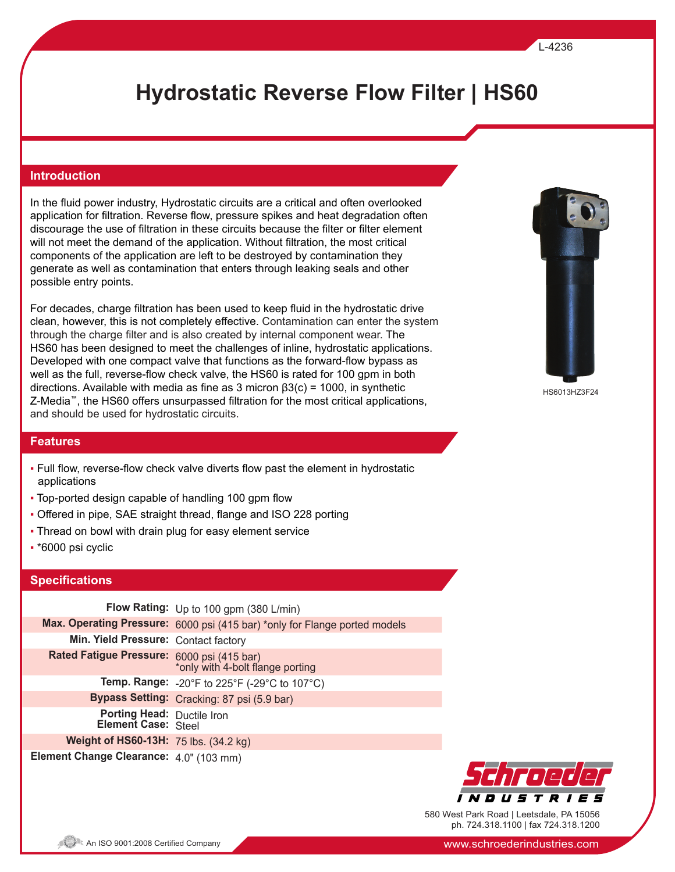#### L-4236

# **Hydrostatic Reverse Flow Filter | HS60**

#### **Introduction**

In the fluid power industry, Hydrostatic circuits are a critical and often overlooked application for filtration. Reverse flow, pressure spikes and heat degradation often discourage the use of filtration in these circuits because the filter or filter element will not meet the demand of the application. Without filtration, the most critical components of the application are left to be destroyed by contamination they generate as well as contamination that enters through leaking seals and other possible entry points.

For decades, charge filtration has been used to keep fluid in the hydrostatic drive clean, however, this is not completely effective. Contamination can enter the system through the charge filter and is also created by internal component wear. The HS60 has been designed to meet the challenges of inline, hydrostatic applications. Developed with one compact valve that functions as the forward-flow bypass as well as the full, reverse-flow check valve, the HS60 is rated for 100 gpm in both directions. Available with media as fine as 3 micron  $\beta$ 3(c) = 1000, in synthetic Z-Media™, the HS60 offers unsurpassed filtration for the most critical applications, and should be used for hydrostatic circuits.



HS6013HZ3F24

#### **Features**

- Full flow, reverse-flow check valve diverts flow past the element in hydrostatic applications
- Top-ported design capable of handling 100 gpm flow
- Offered in pipe, SAE straight thread, flange and ISO 228 porting
- Thread on bowl with drain plug for easy element service
- \*6000 psi cyclic

### **Specifications**

|                                                       | Flow Rating: Up to 100 gpm (380 L/min)                                     |
|-------------------------------------------------------|----------------------------------------------------------------------------|
|                                                       | Max. Operating Pressure: 6000 psi (415 bar) *only for Flange ported models |
| Min. Yield Pressure: Contact factory                  |                                                                            |
| Rated Fatigue Pressure: 6000 psi (415 bar)            | *only with 4-bolt flange porting                                           |
|                                                       | <b>Temp. Range:</b> -20°F to 225°F (-29°C to 107°C)                        |
|                                                       | Bypass Setting: Cracking: 87 psi (5.9 bar)                                 |
| <b>Porting Head: Ductile Iron Element Case: Steel</b> |                                                                            |
| Weight of HS60-13H: 75 lbs. (34.2 kg)                 |                                                                            |
| Element Change Clearance: 4.0" (103 mm)               |                                                                            |



580 West Park Road | Leetsdale, PA 15056 ph. 724.318.1100 | fax 724.318.1200